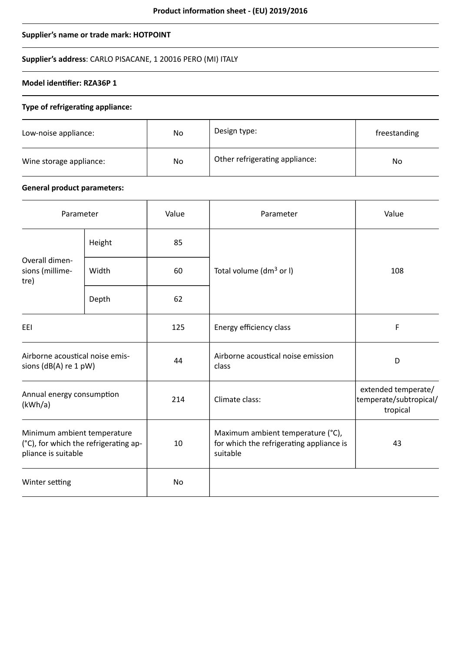# **Supplier's name or trade mark: HOTPOINT**

# **Supplier's address**: CARLO PISACANE, 1 20016 PERO (MI) ITALY

# **Model identifier: RZA36P 1**

### **Type of refrigerating appliance:**

| Low-noise appliance:    | No | Design type:                   | freestanding |
|-------------------------|----|--------------------------------|--------------|
| Wine storage appliance: | No | Other refrigerating appliance: | No           |

# **General product parameters:**

| Parameter                                                                                   |        | Value | Parameter                                                                                 | Value                                                     |
|---------------------------------------------------------------------------------------------|--------|-------|-------------------------------------------------------------------------------------------|-----------------------------------------------------------|
| Overall dimen-<br>sions (millime-<br>tre)                                                   | Height | 85    |                                                                                           | 108                                                       |
|                                                                                             | Width  | 60    | Total volume ( $dm^3$ or I)                                                               |                                                           |
|                                                                                             | Depth  | 62    |                                                                                           |                                                           |
| EEI                                                                                         |        | 125   | Energy efficiency class                                                                   | F                                                         |
| Airborne acoustical noise emis-<br>sions (dB(A) re 1 pW)                                    |        | 44    | Airborne acoustical noise emission<br>class                                               | D                                                         |
| Annual energy consumption<br>(kWh/a)                                                        |        | 214   | Climate class:                                                                            | extended temperate/<br>temperate/subtropical/<br>tropical |
| Minimum ambient temperature<br>(°C), for which the refrigerating ap-<br>pliance is suitable |        | 10    | Maximum ambient temperature (°C),<br>for which the refrigerating appliance is<br>suitable | 43                                                        |
| Winter setting                                                                              |        | No    |                                                                                           |                                                           |